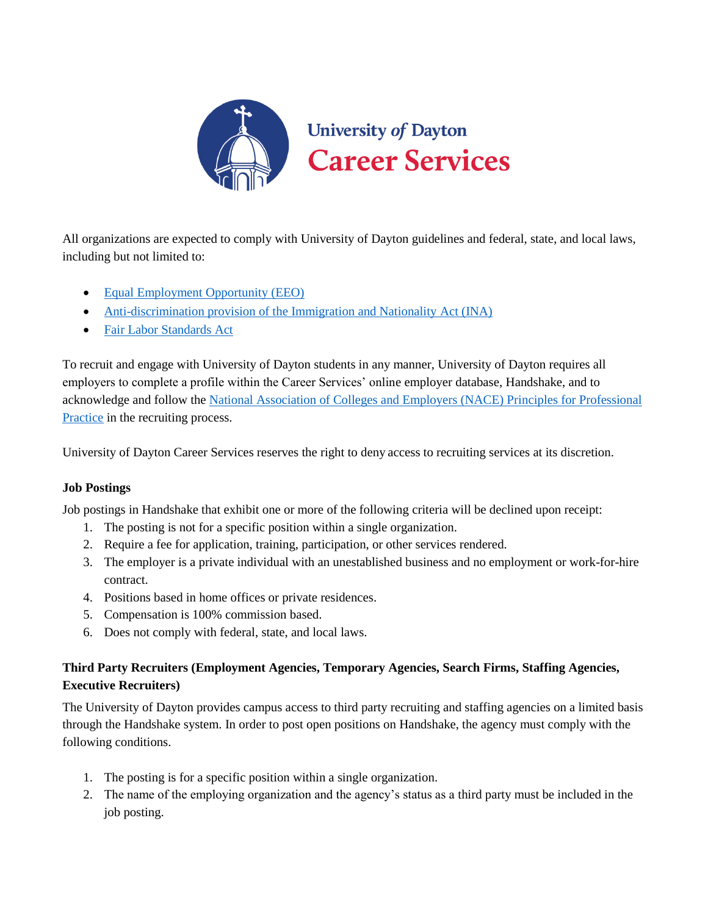

All organizations are expected to comply with University of Dayton guidelines and federal, state, and local laws, including but not limited to:

- [Equal](https://www.eeoc.gov/laws/index.cfm) [Employment Opportunity \(EEO\)](https://www.eeoc.gov/laws/index.cfm)
- [Anti-discrimination provision of the Immigration and Nationality Act \(INA\)](https://www.justice.gov/crt/8-usc-1324b-unfair-immigration-related-employment-practices)
- [Fair Labor Standards Act](https://www.dol.gov/whd/flsa/)

To recruit and engage with University of Dayton students in any manner, University of Dayton requires all employers to complete a profile within the Career Services' online employer database, Handshake, and to acknowledge and follow the [National Association of Colleges and Employers \(NACE\) Principles for Professional](https://www.naceweb.org/career-development/organizational-structure/principles-for-ethical-professional-practice/)  [Practice](https://www.naceweb.org/career-development/organizational-structure/principles-for-ethical-professional-practice/) in the recruiting process.

University of Dayton Career Services reserves the right to deny access to recruiting services at its discretion.

## **Job Postings**

Job postings in Handshake that exhibit one or more of the following criteria will be declined upon receipt:

- 1. The posting is not for a specific position within a single organization.
- 2. Require a fee for application, training, participation, or other services rendered.
- 3. The employer is a private individual with an unestablished business and no employment or work-for-hire contract.
- 4. Positions based in home offices or private residences.
- 5. Compensation is 100% commission based.
- 6. Does not comply with federal, state, and local laws.

# **Third Party Recruiters (Employment Agencies, Temporary Agencies, Search Firms, Staffing Agencies, Executive Recruiters)**

The University of Dayton provides campus access to third party recruiting and staffing agencies on a limited basis through the Handshake system. In order to post open positions on Handshake, the agency must comply with the following conditions.

- 1. The posting is for a specific position within a single organization.
- 2. The name of the employing organization and the agency's status as a third party must be included in the job posting.